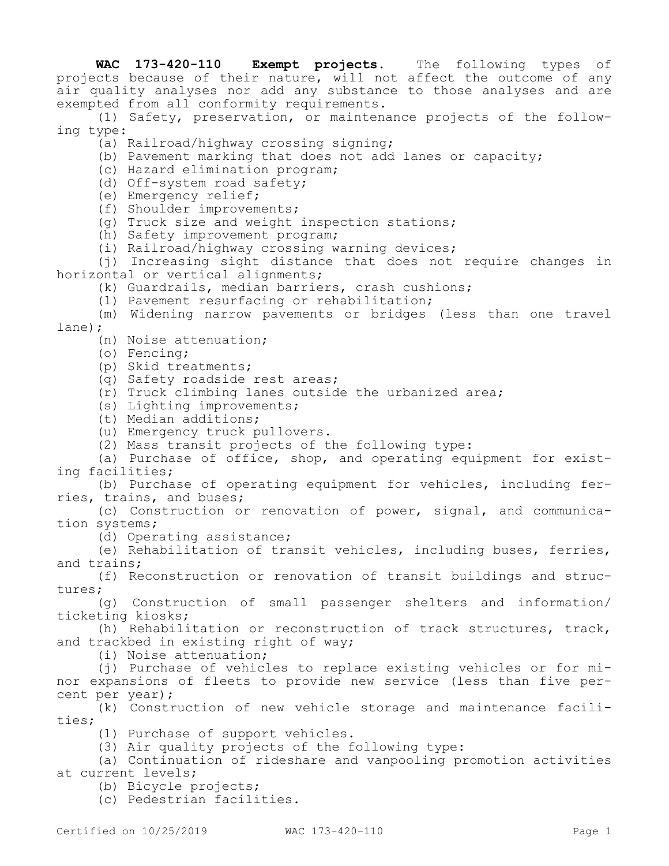**WAC 173-420-110 Exempt projects.** The following types of projects because of their nature, will not affect the outcome of any air quality analyses nor add any substance to those analyses and are exempted from all conformity requirements.

(1) Safety, preservation, or maintenance projects of the following type:

(a) Railroad/highway crossing signing;

- (b) Pavement marking that does not add lanes or capacity;
- (c) Hazard elimination program;
- (d) Off-system road safety;
- (e) Emergency relief;
- (f) Shoulder improvements;
- (g) Truck size and weight inspection stations;
- (h) Safety improvement program;
- (i) Railroad/highway crossing warning devices;

(j) Increasing sight distance that does not require changes in horizontal or vertical alignments;

(k) Guardrails, median barriers, crash cushions;

(l) Pavement resurfacing or rehabilitation;

(m) Widening narrow pavements or bridges (less than one travel lane);

(n) Noise attenuation;

- (o) Fencing;
- (p) Skid treatments;
- (q) Safety roadside rest areas;
- (r) Truck climbing lanes outside the urbanized area;
- (s) Lighting improvements;
- (t) Median additions;
- (u) Emergency truck pullovers.
- (2) Mass transit projects of the following type:

(a) Purchase of office, shop, and operating equipment for existing facilities;

(b) Purchase of operating equipment for vehicles, including ferries, trains, and buses;

(c) Construction or renovation of power, signal, and communication systems;

(d) Operating assistance;

(e) Rehabilitation of transit vehicles, including buses, ferries, and trains;

(f) Reconstruction or renovation of transit buildings and structures;

(g) Construction of small passenger shelters and information/ ticketing kiosks;

(h) Rehabilitation or reconstruction of track structures, track, and trackbed in existing right of way;

(i) Noise attenuation;

(j) Purchase of vehicles to replace existing vehicles or for minor expansions of fleets to provide new service (less than five percent per year);

(k) Construction of new vehicle storage and maintenance facilities;

(l) Purchase of support vehicles.

(3) Air quality projects of the following type:

(a) Continuation of rideshare and vanpooling promotion activities at current levels;

(b) Bicycle projects;

(c) Pedestrian facilities.